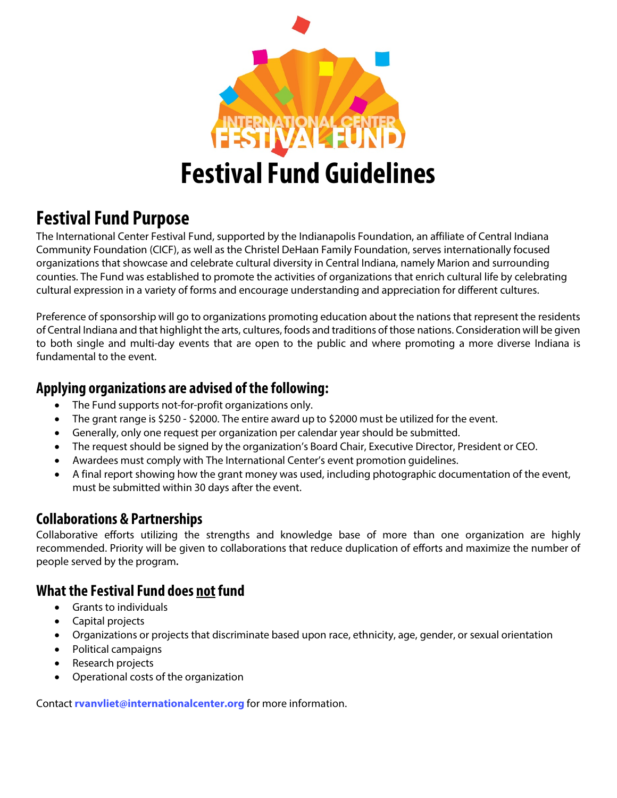

# **Festival Fund Purpose**

The International Center Festival Fund, supported by the Indianapolis Foundation, an affiliate of Central Indiana Community Foundation (CICF), as well as the Christel DeHaan Family Foundation, serves internationally focused organizations that showcase and celebrate cultural diversity in Central Indiana, namely Marion and surrounding counties. The Fund was established to promote the activities of organizations that enrich cultural life by celebrating cultural expression in a variety of forms and encourage understanding and appreciation for different cultures.

Preference of sponsorship will go to organizations promoting education about the nations that represent the residents of Central Indiana and that highlight the arts, cultures, foods and traditions of those nations. Consideration will be given to both single and multi-day events that are open to the public and where promoting a more diverse Indiana is fundamental to the event.

# **Applying organizations are advised of the following:**

- The Fund supports not-for-profit organizations only.
- The grant range is \$250 \$2000. The entire award up to \$2000 must be utilized for the event.
- Generally, only one request per organization per calendar year should be submitted.
- The request should be signed by the organization's Board Chair, Executive Director, President or CEO.
- Awardees must comply with The International Center's event promotion guidelines.
- A final report showing how the grant money was used, including photographic documentation of the event, must be submitted within 30 days after the event.

## **Collaborations & Partnerships**

Collaborative efforts utilizing the strengths and knowledge base of more than one organization are highly recommended. Priority will be given to collaborations that reduce duplication of efforts and maximize the number of people served by the program**.** 

# **What the Festival Fund does not fund**

- Grants to individuals
- Capital projects
- Organizations or projects that discriminate based upon race, ethnicity, age, gender, or sexual orientation
- Political campaigns
- Research projects
- Operational costs of the organization

Contact **[rvanvliet@internationalcenter.org](mailto:rvanvliet@internationalcenter.org)** for more information.